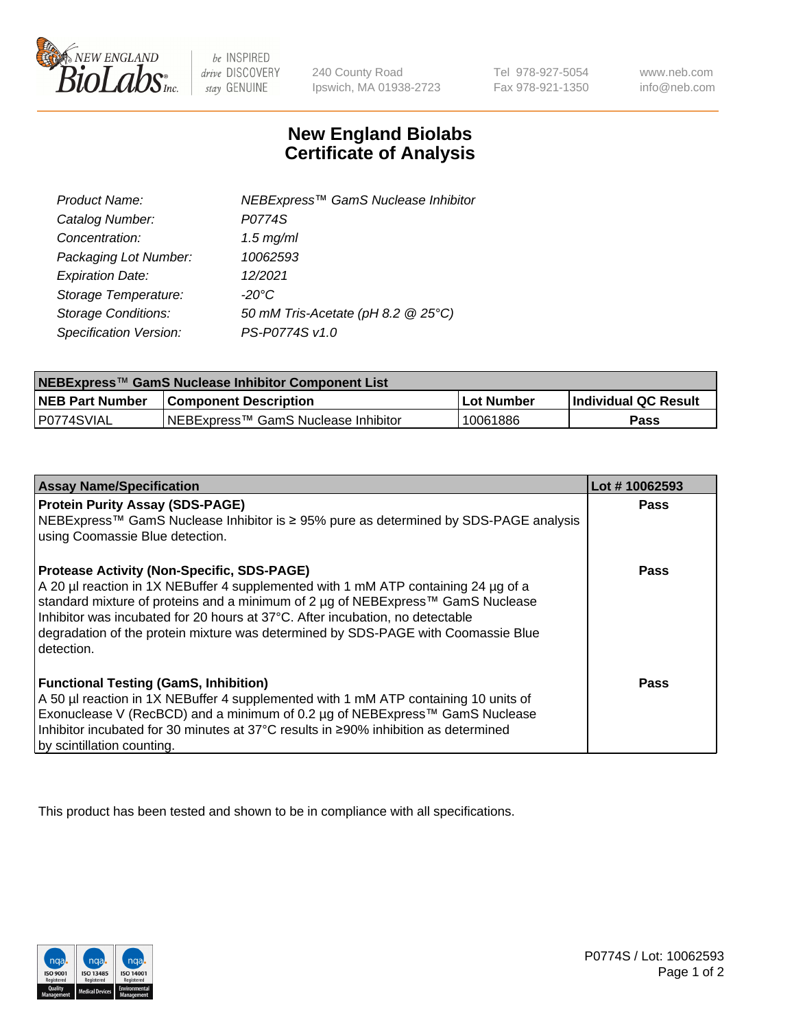

 $be$  INSPIRED drive DISCOVERY stay GENUINE

240 County Road Ipswich, MA 01938-2723

Tel 978-927-5054 Fax 978-921-1350

www.neb.com info@neb.com

## **New England Biolabs Certificate of Analysis**

| Product Name:                 | NEBExpress™ GamS Nuclease Inhibitor |
|-------------------------------|-------------------------------------|
| Catalog Number:               | P0774S                              |
| Concentration:                | $1.5$ mg/ml                         |
| Packaging Lot Number:         | 10062593                            |
| <b>Expiration Date:</b>       | 12/2021                             |
| Storage Temperature:          | $-20^{\circ}$ C                     |
| <b>Storage Conditions:</b>    | 50 mM Tris-Acetate (pH 8.2 @ 25°C)  |
| <b>Specification Version:</b> | PS-P0774S v1.0                      |

| NEBExpress™ GamS Nuclease Inhibitor Component List |                                      |            |                      |  |
|----------------------------------------------------|--------------------------------------|------------|----------------------|--|
| <b>NEB Part Number</b>                             | <b>Component Description</b>         | Lot Number | Individual QC Result |  |
| P0774SVIAL                                         | INEBExpress™ GamS Nuclease Inhibitor | 10061886   | Pass                 |  |

| <b>Assay Name/Specification</b>                                                                                                                                    | Lot #10062593 |
|--------------------------------------------------------------------------------------------------------------------------------------------------------------------|---------------|
| <b>Protein Purity Assay (SDS-PAGE)</b>                                                                                                                             | <b>Pass</b>   |
| NEBExpress™ GamS Nuclease Inhibitor is ≥ 95% pure as determined by SDS-PAGE analysis                                                                               |               |
| using Coomassie Blue detection.                                                                                                                                    |               |
| <b>Protease Activity (Non-Specific, SDS-PAGE)</b>                                                                                                                  | <b>Pass</b>   |
| A 20 µl reaction in 1X NEBuffer 4 supplemented with 1 mM ATP containing 24 µg of a                                                                                 |               |
| standard mixture of proteins and a minimum of 2 µg of NEBExpress™ GamS Nuclease                                                                                    |               |
| Inhibitor was incubated for 20 hours at 37°C. After incubation, no detectable<br>degradation of the protein mixture was determined by SDS-PAGE with Coomassie Blue |               |
| l detection.                                                                                                                                                       |               |
|                                                                                                                                                                    |               |
| <b>Functional Testing (GamS, Inhibition)</b>                                                                                                                       | Pass          |
| A 50 µl reaction in 1X NEBuffer 4 supplemented with 1 mM ATP containing 10 units of                                                                                |               |
| Exonuclease V (RecBCD) and a minimum of 0.2 µg of NEBExpress™ GamS Nuclease                                                                                        |               |
| Inhibitor incubated for 30 minutes at 37°C results in ≥90% inhibition as determined                                                                                |               |
| by scintillation counting.                                                                                                                                         |               |

This product has been tested and shown to be in compliance with all specifications.